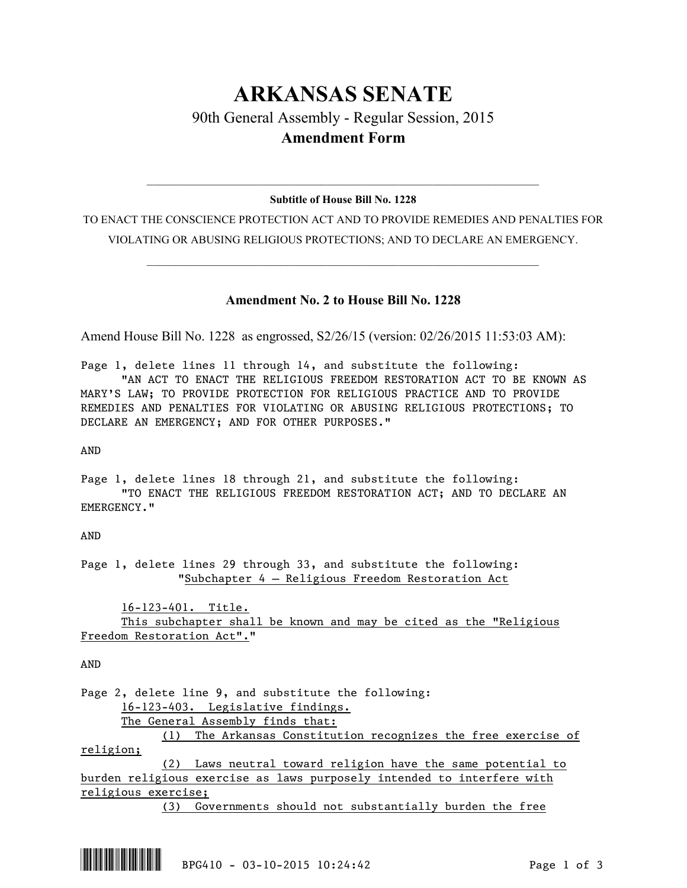## **ARKANSAS SENATE**

## 90th General Assembly - Regular Session, 2015 **Amendment Form**

## $\mathcal{L}_\mathcal{L} = \mathcal{L}_\mathcal{L} = \mathcal{L}_\mathcal{L} = \mathcal{L}_\mathcal{L} = \mathcal{L}_\mathcal{L} = \mathcal{L}_\mathcal{L} = \mathcal{L}_\mathcal{L} = \mathcal{L}_\mathcal{L} = \mathcal{L}_\mathcal{L} = \mathcal{L}_\mathcal{L} = \mathcal{L}_\mathcal{L} = \mathcal{L}_\mathcal{L} = \mathcal{L}_\mathcal{L} = \mathcal{L}_\mathcal{L} = \mathcal{L}_\mathcal{L} = \mathcal{L}_\mathcal{L} = \mathcal{L}_\mathcal{L}$ **Subtitle of House Bill No. 1228**

TO ENACT THE CONSCIENCE PROTECTION ACT AND TO PROVIDE REMEDIES AND PENALTIES FOR VIOLATING OR ABUSING RELIGIOUS PROTECTIONS; AND TO DECLARE AN EMERGENCY.

 $\mathcal{L}_\mathcal{L} = \mathcal{L}_\mathcal{L} = \mathcal{L}_\mathcal{L} = \mathcal{L}_\mathcal{L} = \mathcal{L}_\mathcal{L} = \mathcal{L}_\mathcal{L} = \mathcal{L}_\mathcal{L} = \mathcal{L}_\mathcal{L} = \mathcal{L}_\mathcal{L} = \mathcal{L}_\mathcal{L} = \mathcal{L}_\mathcal{L} = \mathcal{L}_\mathcal{L} = \mathcal{L}_\mathcal{L} = \mathcal{L}_\mathcal{L} = \mathcal{L}_\mathcal{L} = \mathcal{L}_\mathcal{L} = \mathcal{L}_\mathcal{L}$ 

## **Amendment No. 2 to House Bill No. 1228**

Amend House Bill No. 1228 as engrossed, S2/26/15 (version: 02/26/2015 11:53:03 AM):

Page 1, delete lines 11 through 14, and substitute the following: "AN ACT TO ENACT THE RELIGIOUS FREEDOM RESTORATION ACT TO BE KNOWN AS MARY'S LAW; TO PROVIDE PROTECTION FOR RELIGIOUS PRACTICE AND TO PROVIDE REMEDIES AND PENALTIES FOR VIOLATING OR ABUSING RELIGIOUS PROTECTIONS; TO DECLARE AN EMERGENCY; AND FOR OTHER PURPOSES."

AND

Page 1, delete lines 18 through 21, and substitute the following: "TO ENACT THE RELIGIOUS FREEDOM RESTORATION ACT; AND TO DECLARE AN EMERGENCY."

AND

Page 1, delete lines 29 through 33, and substitute the following: "Subchapter 4 — Religious Freedom Restoration Act

16-123-401. Title. This subchapter shall be known and may be cited as the "Religious Freedom Restoration Act"."

AND

Page 2, delete line 9, and substitute the following: 16-123-403. Legislative findings. The General Assembly finds that: (1) The Arkansas Constitution recognizes the free exercise of religion; (2) Laws neutral toward religion have the same potential to burden religious exercise as laws purposely intended to interfere with religious exercise;

(3) Governments should not substantially burden the free

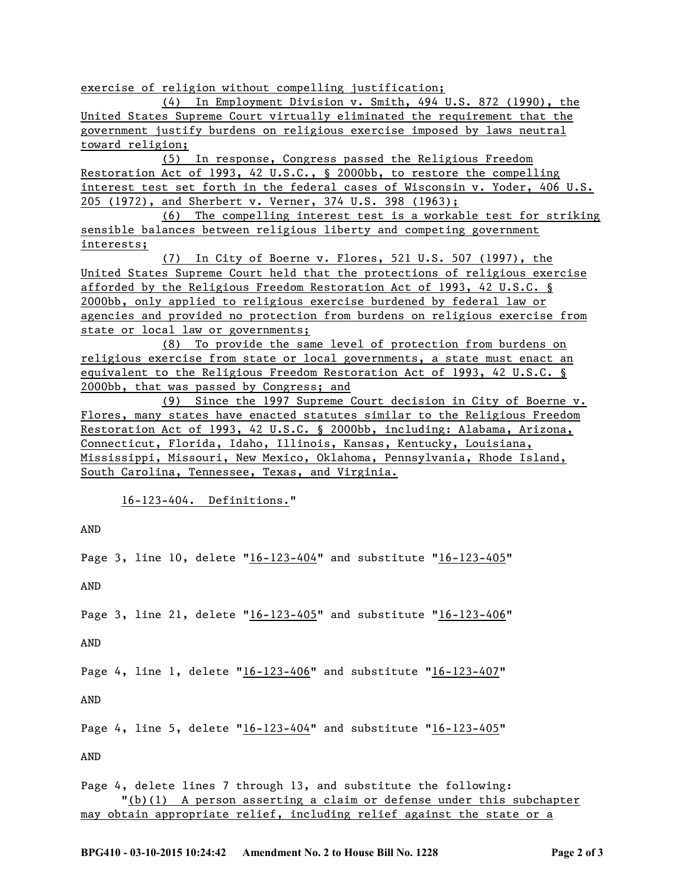exercise of religion without compelling justification;

(4) In Employment Division v. Smith, 494 U.S. 872 (1990), the United States Supreme Court virtually eliminated the requirement that the government justify burdens on religious exercise imposed by laws neutral toward religion;

(5) In response, Congress passed the Religious Freedom Restoration Act of 1993, 42 U.S.C., § 2000bb, to restore the compelling interest test set forth in the federal cases of Wisconsin v. Yoder, 406 U.S. 205 (1972), and Sherbert v. Verner, 374 U.S. 398 (1963);

(6) The compelling interest test is a workable test for striking sensible balances between religious liberty and competing government interests;

(7) In City of Boerne v. Flores, 521 U.S. 507 (1997), the United States Supreme Court held that the protections of religious exercise afforded by the Religious Freedom Restoration Act of 1993, 42 U.S.C. § 2000bb, only applied to religious exercise burdened by federal law or agencies and provided no protection from burdens on religious exercise from state or local law or governments;

(8) To provide the same level of protection from burdens on religious exercise from state or local governments, a state must enact an equivalent to the Religious Freedom Restoration Act of 1993, 42 U.S.C. § 2000bb, that was passed by Congress; and

(9) Since the 1997 Supreme Court decision in City of Boerne v. Flores, many states have enacted statutes similar to the Religious Freedom Restoration Act of 1993, 42 U.S.C. § 2000bb, including: Alabama, Arizona, Connecticut, Florida, Idaho, Illinois, Kansas, Kentucky, Louisiana, Mississippi, Missouri, New Mexico, Oklahoma, Pennsylvania, Rhode Island, South Carolina, Tennessee, Texas, and Virginia.

16-123-404. Definitions."

AND

Page 3, line 10, delete "16-123-404" and substitute "16-123-405"

AND

Page 3, line 21, delete "16-123-405" and substitute "16-123-406"

AND

Page 4, line 1, delete "16-123-406" and substitute "16-123-407"

AND

Page 4, line 5, delete "16-123-404" and substitute "16-123-405"

AND

Page 4, delete lines 7 through 13, and substitute the following: "(b)(1) A person asserting a claim or defense under this subchapter may obtain appropriate relief, including relief against the state or a